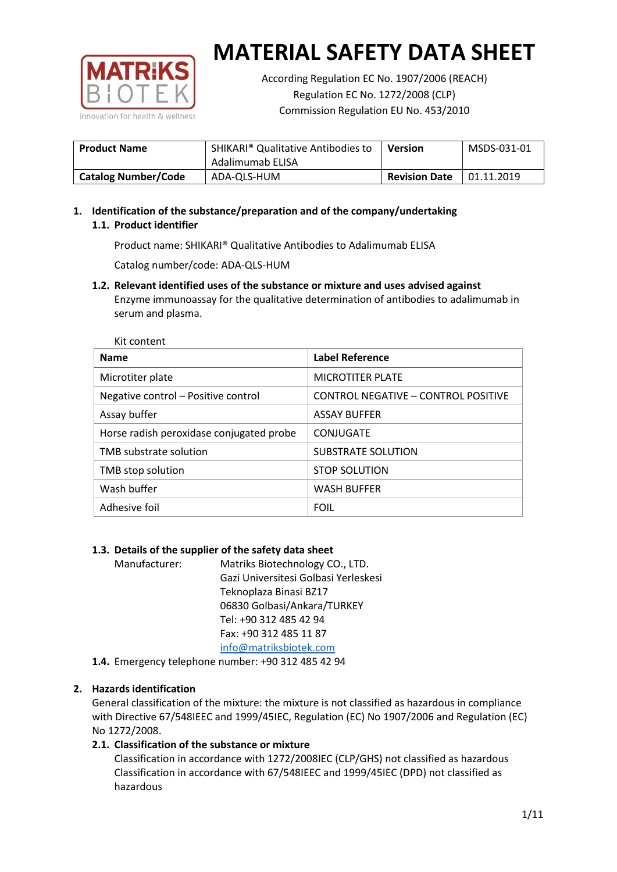

According Regulation EC No. 1907/2006 (REACH) Regulation EC No. 1272/2008 (CLP) Commission Regulation EU No. 453/2010

| <b>Product Name</b>        | SHIKARI <sup>®</sup> Qualitative Antibodies to<br>Adalimumab ELISA | <b>Version</b>       | MSDS-031-01 |
|----------------------------|--------------------------------------------------------------------|----------------------|-------------|
| <b>Catalog Number/Code</b> | ADA-QLS-HUM                                                        | <b>Revision Date</b> | 01.11.2019  |

# **1. Identification of the substance/preparation and of the company/undertaking 1.1. Product identifier**

Product name: SHIKARI® Qualitative Antibodies to Adalimumab ELISA

Catalog number/code: ADA-QLS-HUM

**1.2. Relevant identified uses of the substance or mixture and uses advised against** Enzyme immunoassay for the qualitative determination of antibodies to adalimumab in serum and plasma.

| <b>Name</b>                              | <b>Label Reference</b>              |
|------------------------------------------|-------------------------------------|
| Microtiter plate                         | <b>MICROTITER PLATE</b>             |
| Negative control - Positive control      | CONTROL NEGATIVE - CONTROL POSITIVE |
| Assay buffer                             | <b>ASSAY BUFFER</b>                 |
| Horse radish peroxidase conjugated probe | CONJUGATE                           |
| TMB substrate solution                   | <b>SUBSTRATE SOLUTION</b>           |
| TMB stop solution                        | <b>STOP SOLUTION</b>                |
| Wash buffer                              | <b>WASH BUFFER</b>                  |
| Adhesive foil                            | <b>FOIL</b>                         |

## **1.3. Details of the supplier of the safety data sheet**

Manufacturer: Matriks Biotechnology CO., LTD. Gazi Universitesi Golbasi Yerleskesi Teknoplaza Binasi BZ17 06830 Golbasi/Ankara/TURKEY Tel: +90 312 485 42 94 Fax: +90 312 485 11 87 [info@matriksbiotek.com](mailto:info@matriksbiotek.com)

**1.4.** Emergency telephone number: +90 312 485 42 94

## **2. Hazards identification**

General classification of the mixture: the mixture is not classified as hazardous in compliance with Directive 67/548IEEC and 1999/45IEC, Regulation (EC) No 1907/2006 and Regulation (EC) No 1272/2008.

## **2.1. Classification of the substance or mixture**

Classification in accordance with 1272/2008IEC (CLP/GHS) not classified as hazardous Classification in accordance with 67/548IEEC and 1999/45IEC (DPD) not classified as hazardous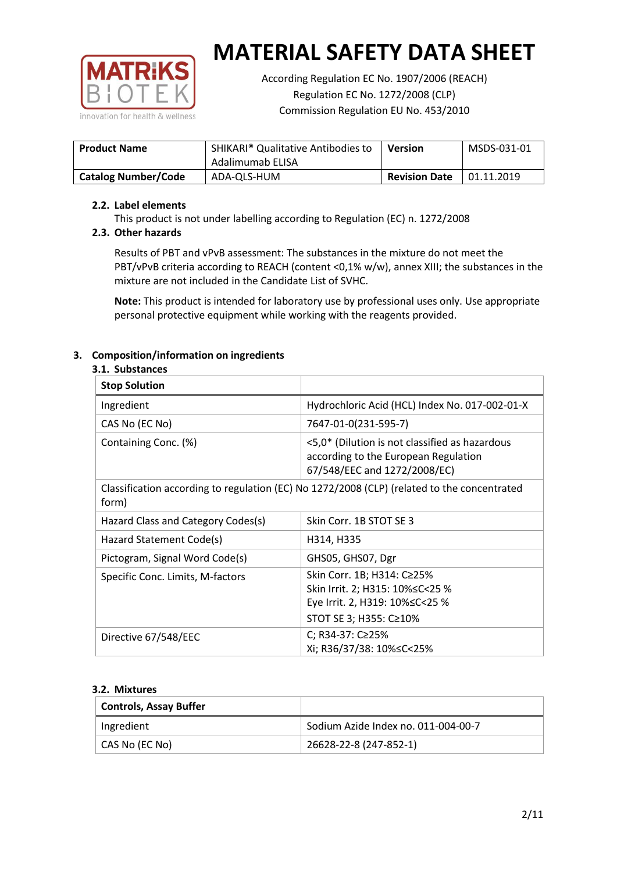

According Regulation EC No. 1907/2006 (REACH) Regulation EC No. 1272/2008 (CLP) Commission Regulation EU No. 453/2010

| <b>Product Name</b>        | SHIKARI <sup>®</sup> Qualitative Antibodies to<br>Adalimumab ELISA | Version              | MSDS-031-01 |
|----------------------------|--------------------------------------------------------------------|----------------------|-------------|
| <b>Catalog Number/Code</b> | ADA-QLS-HUM                                                        | <b>Revision Date</b> | 01.11.2019  |

## **2.2. Label elements**

This product is not under labelling according to Regulation (EC) n. 1272/2008

## **2.3. Other hazards**

Results of PBT and vPvB assessment: The substances in the mixture do not meet the PBT/vPvB criteria according to REACH (content <0,1% w/w), annex XIII; the substances in the mixture are not included in the Candidate List of SVHC.

**Note:** This product is intended for laboratory use by professional uses only. Use appropriate personal protective equipment while working with the reagents provided.

# **3. Composition/information on ingredients**

## **3.1. Substances**

| <b>Stop Solution</b>               |                                                                                                                               |
|------------------------------------|-------------------------------------------------------------------------------------------------------------------------------|
| Ingredient                         | Hydrochloric Acid (HCL) Index No. 017-002-01-X                                                                                |
| CAS No (EC No)                     | 7647-01-0(231-595-7)                                                                                                          |
| Containing Conc. (%)               | <5,0* (Dilution is not classified as hazardous<br>according to the European Regulation<br>67/548/EEC and 1272/2008/EC)        |
| form)                              | Classification according to regulation (EC) No 1272/2008 (CLP) (related to the concentrated                                   |
| Hazard Class and Category Codes(s) | Skin Corr. 1B STOT SE 3                                                                                                       |
| Hazard Statement Code(s)           | H314, H335                                                                                                                    |
| Pictogram, Signal Word Code(s)     | GHS05, GHS07, Dgr                                                                                                             |
| Specific Conc. Limits, M-factors   | Skin Corr. 1B; H314: C≥25%<br>Skin Irrit. 2; H315: 10% ≤ C < 25 %<br>Eye Irrit. 2, H319: 10%≤C<25 %<br>STOT SE 3; H355: C≥10% |
| Directive 67/548/EEC               | C; R34-37: C≥25%<br>Xi; R36/37/38: 10% <<<<<<<                                                                                |

#### **3.2. Mixtures**

| <b>Controls, Assay Buffer</b> |                                     |
|-------------------------------|-------------------------------------|
| Ingredient                    | Sodium Azide Index no. 011-004-00-7 |
| CAS No (EC No)                | 26628-22-8 (247-852-1)              |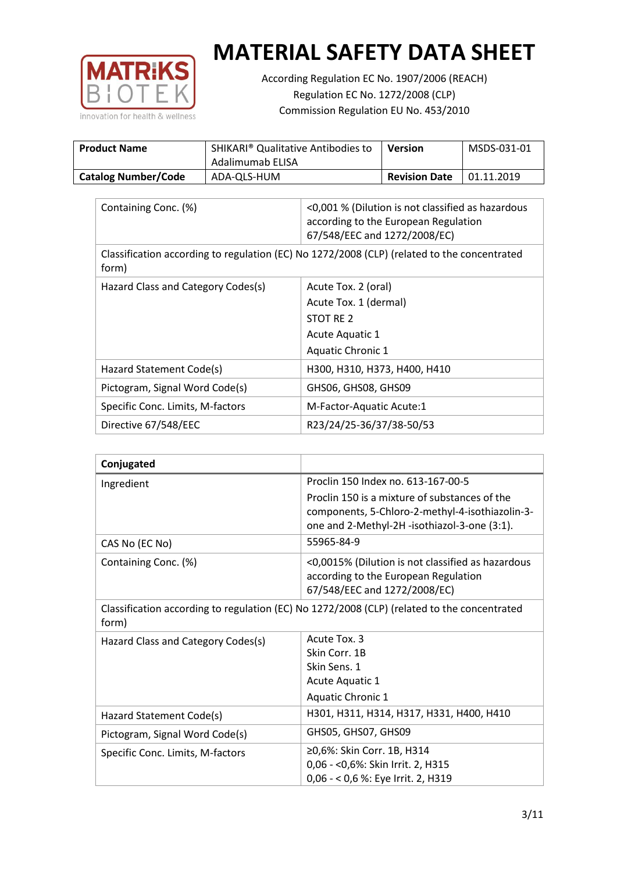

According Regulation EC No. 1907/2006 (REACH) Regulation EC No. 1272/2008 (CLP) Commission Regulation EU No. 453/2010

| <b>Product Name</b>        | SHIKARI <sup>®</sup> Qualitative Antibodies to<br>Adalimumab ELISA | Version              | MSDS-031-01 |
|----------------------------|--------------------------------------------------------------------|----------------------|-------------|
| <b>Catalog Number/Code</b> | ADA-QLS-HUM                                                        | <b>Revision Date</b> | 01.11.2019  |

| Containing Conc. (%)               | <0,001 % (Dilution is not classified as hazardous<br>according to the European Regulation<br>67/548/EEC and 1272/2008/EC) |
|------------------------------------|---------------------------------------------------------------------------------------------------------------------------|
| form)                              | Classification according to regulation (EC) No 1272/2008 (CLP) (related to the concentrated                               |
| Hazard Class and Category Codes(s) | Acute Tox. 2 (oral)                                                                                                       |
|                                    | Acute Tox. 1 (dermal)                                                                                                     |
|                                    | STOT RE 2                                                                                                                 |
|                                    | Acute Aquatic 1                                                                                                           |
|                                    | Aquatic Chronic 1                                                                                                         |
| Hazard Statement Code(s)           | H300, H310, H373, H400, H410                                                                                              |
| Pictogram, Signal Word Code(s)     | GHS06, GHS08, GHS09                                                                                                       |
| Specific Conc. Limits, M-factors   | M-Factor-Aquatic Acute:1                                                                                                  |
| Directive 67/548/EEC               | R23/24/25-36/37/38-50/53                                                                                                  |

| Conjugated                         |                                                                                                                                                  |
|------------------------------------|--------------------------------------------------------------------------------------------------------------------------------------------------|
| Ingredient                         | Proclin 150 Index no. 613-167-00-5                                                                                                               |
|                                    | Proclin 150 is a mixture of substances of the<br>components, 5-Chloro-2-methyl-4-isothiazolin-3-<br>one and 2-Methyl-2H -isothiazol-3-one (3:1). |
| CAS No (EC No)                     | 55965-84-9                                                                                                                                       |
| Containing Conc. (%)               | <0,0015% (Dilution is not classified as hazardous<br>according to the European Regulation<br>67/548/EEC and 1272/2008/EC)                        |
| form)                              | Classification according to regulation (EC) No 1272/2008 (CLP) (related to the concentrated                                                      |
| Hazard Class and Category Codes(s) | Acute Tox, 3                                                                                                                                     |
|                                    | Skin Corr. 1B                                                                                                                                    |
|                                    | Skin Sens. 1                                                                                                                                     |
|                                    | <b>Acute Aquatic 1</b>                                                                                                                           |
|                                    | Aquatic Chronic 1                                                                                                                                |
| Hazard Statement Code(s)           | H301, H311, H314, H317, H331, H400, H410                                                                                                         |
| Pictogram, Signal Word Code(s)     | GHS05, GHS07, GHS09                                                                                                                              |
| Specific Conc. Limits, M-factors   | ≥0,6%: Skin Corr. 1B, H314<br>0,06 - < 0,6%: Skin Irrit. 2, H315<br>0,06 - < 0,6 %: Eye Irrit. 2, H319                                           |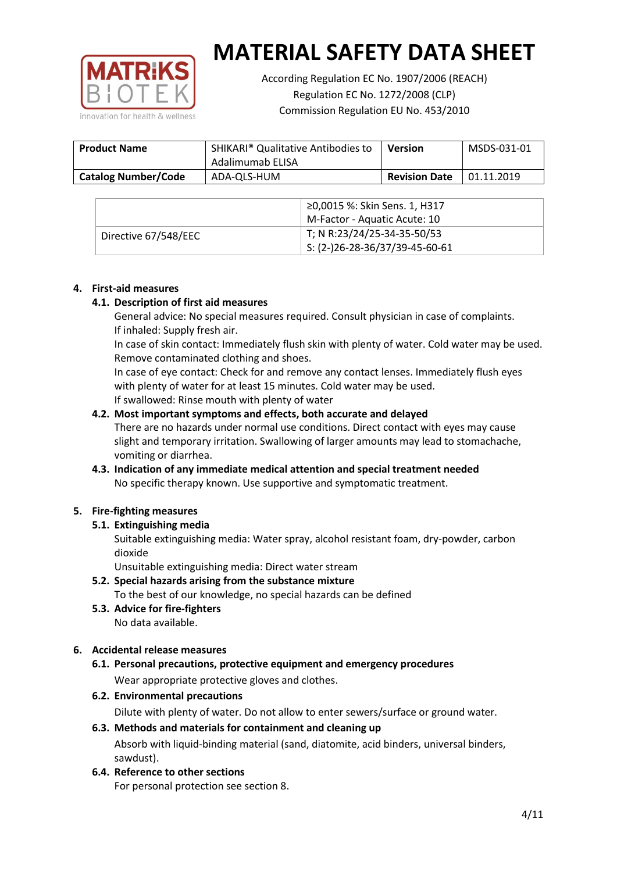

According Regulation EC No. 1907/2006 (REACH) Regulation EC No. 1272/2008 (CLP) Commission Regulation EU No. 453/2010

| <b>Product Name</b>        | SHIKARI <sup>®</sup> Qualitative Antibodies to<br>Adalimumab ELISA | <b>Version</b>       | MSDS-031-01 |
|----------------------------|--------------------------------------------------------------------|----------------------|-------------|
| <b>Catalog Number/Code</b> | ADA-QLS-HUM                                                        | <b>Revision Date</b> | 01.11.2019  |

|                      | ≥0,0015 %: Skin Sens. 1, H317    |
|----------------------|----------------------------------|
|                      | M-Factor - Aquatic Acute: 10     |
| Directive 67/548/EEC | T; N R:23/24/25-34-35-50/53      |
|                      | $5: (2-)26-28-36/37/39-45-60-61$ |

#### **4. First-aid measures**

## **4.1. Description of first aid measures**

General advice: No special measures required. Consult physician in case of complaints. If inhaled: Supply fresh air.

In case of skin contact: Immediately flush skin with plenty of water. Cold water may be used. Remove contaminated clothing and shoes.

In case of eye contact: Check for and remove any contact lenses. Immediately flush eyes with plenty of water for at least 15 minutes. Cold water may be used. If swallowed: Rinse mouth with plenty of water

## **4.2. Most important symptoms and effects, both accurate and delayed**

There are no hazards under normal use conditions. Direct contact with eyes may cause slight and temporary irritation. Swallowing of larger amounts may lead to stomachache, vomiting or diarrhea.

## **4.3. Indication of any immediate medical attention and special treatment needed** No specific therapy known. Use supportive and symptomatic treatment.

## **5. Fire-fighting measures**

## **5.1. Extinguishing media**

Suitable extinguishing media: Water spray, alcohol resistant foam, dry-powder, carbon dioxide

Unsuitable extinguishing media: Direct water stream

- **5.2. Special hazards arising from the substance mixture** To the best of our knowledge, no special hazards can be defined
- **5.3. Advice for fire-fighters** No data available.

## **6. Accidental release measures**

- **6.1. Personal precautions, protective equipment and emergency procedures** Wear appropriate protective gloves and clothes.
- **6.2. Environmental precautions**

Dilute with plenty of water. Do not allow to enter sewers/surface or ground water.

#### **6.3. Methods and materials for containment and cleaning up**

Absorb with liquid-binding material (sand, diatomite, acid binders, universal binders, sawdust).

**6.4. Reference to other sections**

For personal protection see section 8.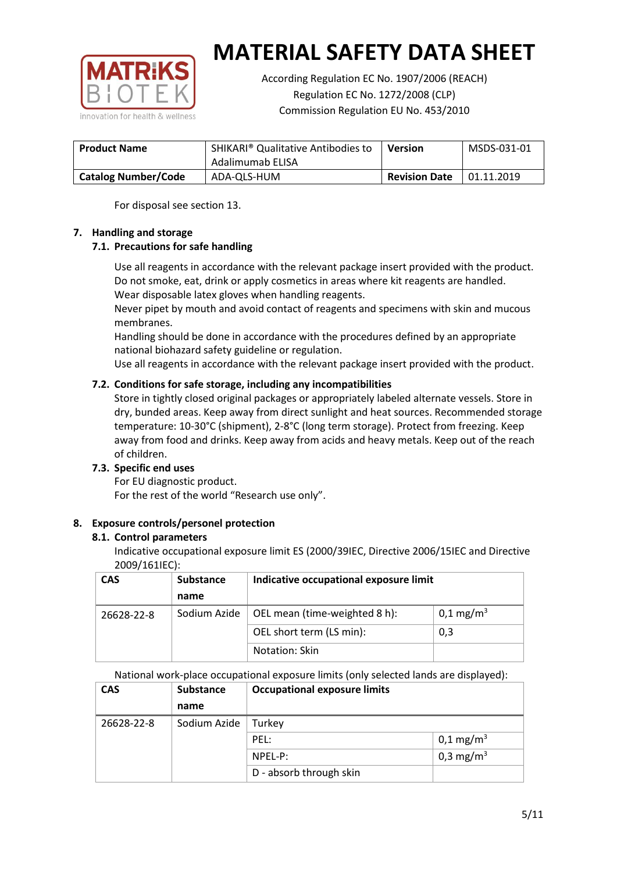

According Regulation EC No. 1907/2006 (REACH) Regulation EC No. 1272/2008 (CLP) Commission Regulation EU No. 453/2010

| <b>Product Name</b>        | SHIKARI <sup>®</sup> Qualitative Antibodies to<br>Adalimumab ELISA | <b>Version</b>       | MSDS-031-01 |
|----------------------------|--------------------------------------------------------------------|----------------------|-------------|
| <b>Catalog Number/Code</b> | ADA-QLS-HUM                                                        | <b>Revision Date</b> | 01.11.2019  |

For disposal see section 13.

## **7. Handling and storage**

## **7.1. Precautions for safe handling**

Use all reagents in accordance with the relevant package insert provided with the product. Do not smoke, eat, drink or apply cosmetics in areas where kit reagents are handled. Wear disposable latex gloves when handling reagents.

Never pipet by mouth and avoid contact of reagents and specimens with skin and mucous membranes.

Handling should be done in accordance with the procedures defined by an appropriate national biohazard safety guideline or regulation.

Use all reagents in accordance with the relevant package insert provided with the product.

## **7.2. Conditions for safe storage, including any incompatibilities**

Store in tightly closed original packages or appropriately labeled alternate vessels. Store in dry, bunded areas. Keep away from direct sunlight and heat sources. Recommended storage temperature: 10-30°C (shipment), 2-8°C (long term storage). Protect from freezing. Keep away from food and drinks. Keep away from acids and heavy metals. Keep out of the reach of children.

## **7.3. Specific end uses**

For EU diagnostic product. For the rest of the world "Research use only".

## **8. Exposure controls/personel protection**

#### **8.1. Control parameters**

Indicative occupational exposure limit ES (2000/39IEC, Directive 2006/15IEC and Directive 2009/161IEC):

| <b>CAS</b> | <b>Substance</b> | Indicative occupational exposure limit |                       |
|------------|------------------|----------------------------------------|-----------------------|
|            | name             |                                        |                       |
| 26628-22-8 | Sodium Azide     | OEL mean (time-weighted 8 h):          | 0,1 mg/m <sup>3</sup> |
|            |                  | OEL short term (LS min):               | 0,3                   |
|            |                  | Notation: Skin                         |                       |

National work-place occupational exposure limits (only selected lands are displayed):

| <b>CAS</b> | <b>Substance</b> | <b>Occupational exposure limits</b> |                         |
|------------|------------------|-------------------------------------|-------------------------|
|            | name             |                                     |                         |
| 26628-22-8 | Sodium Azide     | Turkey                              |                         |
|            |                  | PEL:                                | $0,1 \,\mathrm{mg/m^3}$ |
|            |                  | NPEL-P:                             | 0,3 mg/m <sup>3</sup>   |
|            |                  | D - absorb through skin             |                         |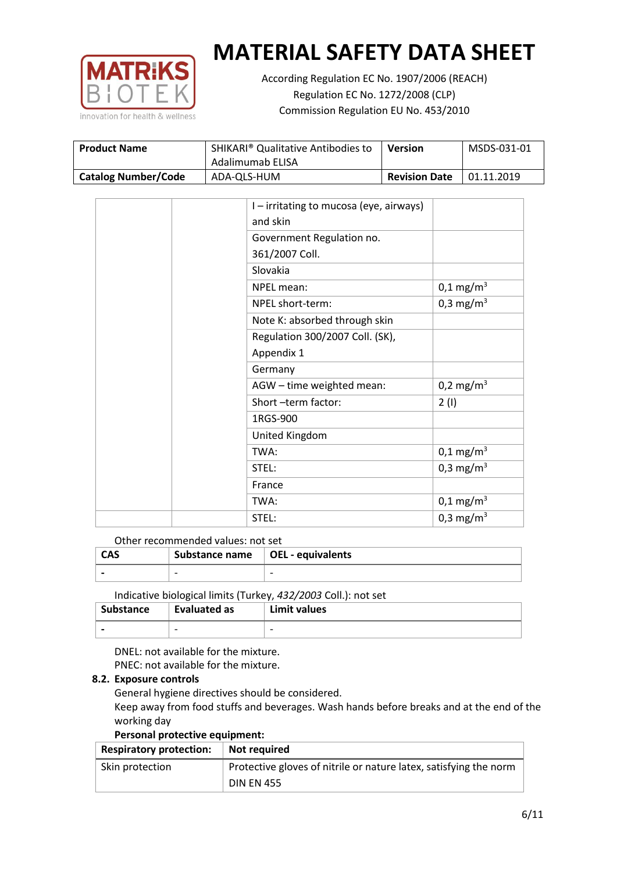

According Regulation EC No. 1907/2006 (REACH) Regulation EC No. 1272/2008 (CLP) Commission Regulation EU No. 453/2010

| <b>Product Name</b>        | SHIKARI <sup>®</sup> Qualitative Antibodies to<br>Adalimumab ELISA | <b>Version</b>       | MSDS-031-01 |
|----------------------------|--------------------------------------------------------------------|----------------------|-------------|
| <b>Catalog Number/Code</b> | ADA-QLS-HUM                                                        | <b>Revision Date</b> | 01.11.2019  |

|  | I-irritating to mucosa (eye, airways) |                       |
|--|---------------------------------------|-----------------------|
|  | and skin                              |                       |
|  | Government Regulation no.             |                       |
|  | 361/2007 Coll.                        |                       |
|  | Slovakia                              |                       |
|  | NPEL mean:                            | $0,1 \text{ mg/m}^3$  |
|  | NPEL short-term:                      | $0,3 \text{ mg/m}^3$  |
|  | Note K: absorbed through skin         |                       |
|  | Regulation 300/2007 Coll. (SK),       |                       |
|  | Appendix 1                            |                       |
|  | Germany                               |                       |
|  | AGW - time weighted mean:             | 0,2 mg/m <sup>3</sup> |
|  | Short-term factor:                    | 2(1)                  |
|  | 1RGS-900                              |                       |
|  | United Kingdom                        |                       |
|  | TWA:                                  | $0,1 \text{ mg/m}^3$  |
|  | STEL:                                 | 0,3 mg/m <sup>3</sup> |
|  | France                                |                       |
|  | TWA:                                  | $0,1 \text{ mg/m}^3$  |
|  | STEL:                                 | 0,3 mg/m <sup>3</sup> |

#### Other recommended values: not set

| <b>CAS</b> | Substance name $\vert$ OEL - equivalents |  |
|------------|------------------------------------------|--|
|            | $\overline{\phantom{0}}$                 |  |
|            |                                          |  |

Indicative biological limits (Turkey, *432/2003* Coll.): not set

| Substance                | Evaluated as             | Limit values             |
|--------------------------|--------------------------|--------------------------|
| $\overline{\phantom{0}}$ | $\overline{\phantom{0}}$ | $\overline{\phantom{0}}$ |

DNEL: not available for the mixture. PNEC: not available for the mixture.

#### **8.2. Exposure controls**

General hygiene directives should be considered.

Keep away from food stuffs and beverages. Wash hands before breaks and at the end of the working day

#### **Personal protective equipment:**

| <b>Respiratory protection:</b> | Not required                                                      |
|--------------------------------|-------------------------------------------------------------------|
| Skin protection                | Protective gloves of nitrile or nature latex, satisfying the norm |
|                                | <b>DIN EN 455</b>                                                 |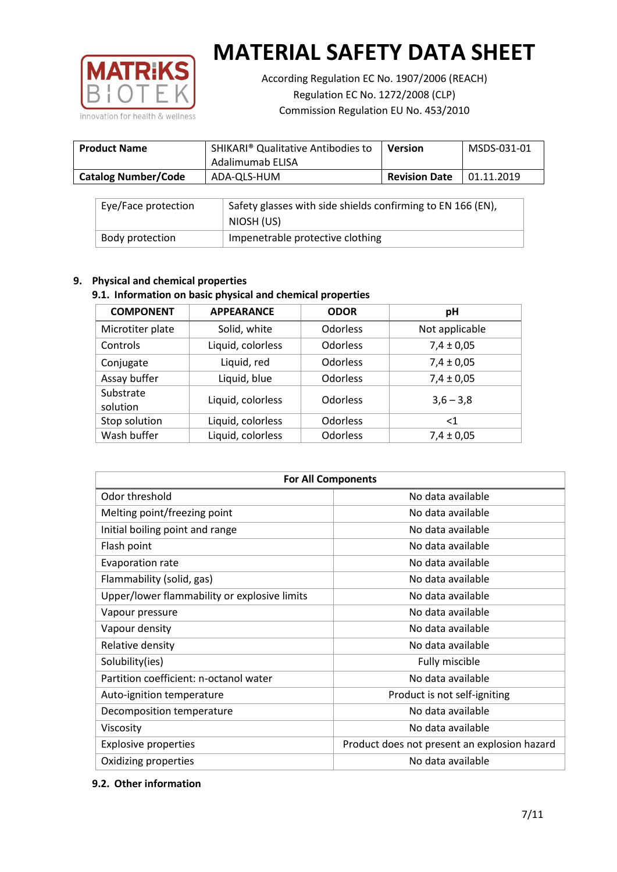

According Regulation EC No. 1907/2006 (REACH) Regulation EC No. 1272/2008 (CLP) Commission Regulation EU No. 453/2010

| <b>Product Name</b>        | SHIKARI <sup>®</sup> Qualitative Antibodies to<br>Adalimumab ELISA | <b>Version</b>       | MSDS-031-01 |
|----------------------------|--------------------------------------------------------------------|----------------------|-------------|
| <b>Catalog Number/Code</b> | ADA-QLS-HUM                                                        | <b>Revision Date</b> | 01.11.2019  |

| Eye/Face protection | Safety glasses with side shields confirming to EN 166 (EN),<br>NIOSH (US) |
|---------------------|---------------------------------------------------------------------------|
| Body protection     | Impenetrable protective clothing                                          |

## **9. Physical and chemical properties**

## **9.1. Information on basic physical and chemical properties**

| <b>COMPONENT</b>      | <b>APPEARANCE</b> | <b>ODOR</b>     | рH             |
|-----------------------|-------------------|-----------------|----------------|
| Microtiter plate      | Solid, white      | Odorless        | Not applicable |
| Controls              | Liquid, colorless | Odorless        | $7,4 \pm 0,05$ |
| Conjugate             | Liquid, red       | <b>Odorless</b> | $7,4 \pm 0,05$ |
| Assay buffer          | Liquid, blue      | Odorless        | $7,4 \pm 0,05$ |
| Substrate<br>solution | Liquid, colorless | <b>Odorless</b> | $3,6 - 3,8$    |
| Stop solution         | Liquid, colorless | Odorless        | $\leq$ 1       |
| Wash buffer           | Liquid, colorless | Odorless        | $7,4 \pm 0,05$ |

| <b>For All Components</b>                    |                                              |  |  |
|----------------------------------------------|----------------------------------------------|--|--|
| Odor threshold                               | No data available                            |  |  |
| Melting point/freezing point                 | No data available                            |  |  |
| Initial boiling point and range              | No data available                            |  |  |
| Flash point                                  | No data available                            |  |  |
| Evaporation rate                             | No data available                            |  |  |
| Flammability (solid, gas)                    | No data available                            |  |  |
| Upper/lower flammability or explosive limits | No data available                            |  |  |
| Vapour pressure                              | No data available                            |  |  |
| Vapour density                               | No data available                            |  |  |
| Relative density                             | No data available                            |  |  |
| Solubility(ies)                              | Fully miscible                               |  |  |
| Partition coefficient: n-octanol water       | No data available                            |  |  |
| Auto-ignition temperature                    | Product is not self-igniting                 |  |  |
| Decomposition temperature                    | No data available                            |  |  |
| Viscosity                                    | No data available                            |  |  |
| <b>Explosive properties</b>                  | Product does not present an explosion hazard |  |  |
| Oxidizing properties                         | No data available                            |  |  |

## **9.2. Other information**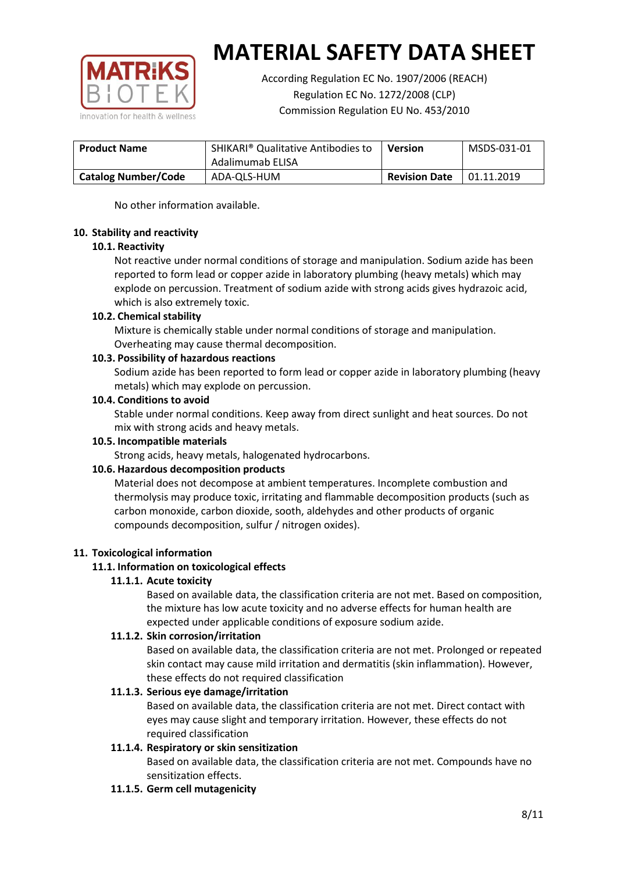

According Regulation EC No. 1907/2006 (REACH) Regulation EC No. 1272/2008 (CLP) Commission Regulation EU No. 453/2010

| <b>Product Name</b>        | SHIKARI <sup>®</sup> Qualitative Antibodies to<br>Adalimumab ELISA | <b>Version</b>       | MSDS-031-01 |
|----------------------------|--------------------------------------------------------------------|----------------------|-------------|
| <b>Catalog Number/Code</b> | ADA-QLS-HUM                                                        | <b>Revision Date</b> | 01.11.2019  |

No other information available.

## **10. Stability and reactivity**

## **10.1. Reactivity**

Not reactive under normal conditions of storage and manipulation. Sodium azide has been reported to form lead or copper azide in laboratory plumbing (heavy metals) which may explode on percussion. Treatment of sodium azide with strong acids gives hydrazoic acid, which is also extremely toxic.

## **10.2. Chemical stability**

Mixture is chemically stable under normal conditions of storage and manipulation. Overheating may cause thermal decomposition.

## **10.3. Possibility of hazardous reactions**

Sodium azide has been reported to form lead or copper azide in laboratory plumbing (heavy metals) which may explode on percussion.

## **10.4. Conditions to avoid**

Stable under normal conditions. Keep away from direct sunlight and heat sources. Do not mix with strong acids and heavy metals.

#### **10.5. Incompatible materials**

Strong acids, heavy metals, halogenated hydrocarbons.

## **10.6. Hazardous decomposition products**

Material does not decompose at ambient temperatures. Incomplete combustion and thermolysis may produce toxic, irritating and flammable decomposition products (such as carbon monoxide, carbon dioxide, sooth, aldehydes and other products of organic compounds decomposition, sulfur / nitrogen oxides).

## **11. Toxicological information**

## **11.1. Information on toxicological effects**

#### **11.1.1. Acute toxicity**

Based on available data, the classification criteria are not met. Based on composition, the mixture has low acute toxicity and no adverse effects for human health are expected under applicable conditions of exposure sodium azide.

#### **11.1.2. Skin corrosion/irritation**

Based on available data, the classification criteria are not met. Prolonged or repeated skin contact may cause mild irritation and dermatitis (skin inflammation). However, these effects do not required classification

## **11.1.3. Serious eye damage/irritation**

Based on available data, the classification criteria are not met. Direct contact with eyes may cause slight and temporary irritation. However, these effects do not required classification

## **11.1.4. Respiratory or skin sensitization**

Based on available data, the classification criteria are not met. Compounds have no sensitization effects.

#### **11.1.5. Germ cell mutagenicity**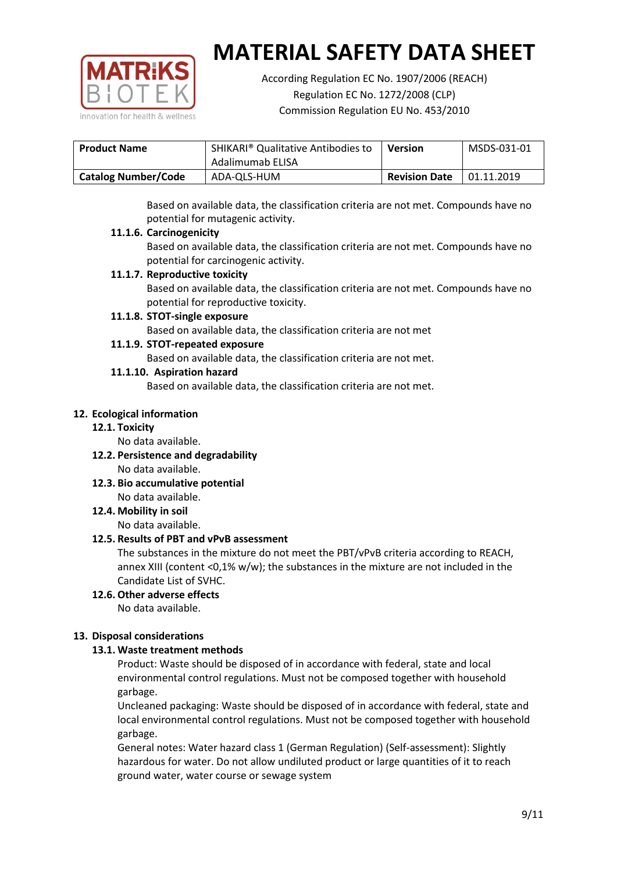

According Regulation EC No. 1907/2006 (REACH) Regulation EC No. 1272/2008 (CLP) Commission Regulation EU No. 453/2010

| <b>Product Name</b>        | SHIKARI <sup>®</sup> Qualitative Antibodies to<br>Adalimumab ELISA | <b>Version</b>       | MSDS-031-01 |
|----------------------------|--------------------------------------------------------------------|----------------------|-------------|
| <b>Catalog Number/Code</b> | ADA-QLS-HUM                                                        | <b>Revision Date</b> | 01.11.2019  |

Based on available data, the classification criteria are not met. Compounds have no potential for mutagenic activity.

## **11.1.6. Carcinogenicity**

Based on available data, the classification criteria are not met. Compounds have no potential for carcinogenic activity.

## **11.1.7. Reproductive toxicity**

Based on available data, the classification criteria are not met. Compounds have no potential for reproductive toxicity.

## **11.1.8. STOT-single exposure**

Based on available data, the classification criteria are not met

## **11.1.9. STOT-repeated exposure**

Based on available data, the classification criteria are not met.

## **11.1.10. Aspiration hazard**

Based on available data, the classification criteria are not met.

## **12. Ecological information**

#### **12.1. Toxicity**

No data available.

- **12.2. Persistence and degradability** No data available.
- **12.3. Bio accumulative potential** No data available.

**12.4. Mobility in soil**

No data available.

## **12.5. Results of PBT and vPvB assessment**

The substances in the mixture do not meet the PBT/vPvB criteria according to REACH, annex XIII (content <0,1% w/w); the substances in the mixture are not included in the Candidate List of SVHC.

#### **12.6. Other adverse effects** No data available.

## **13. Disposal considerations**

## **13.1. Waste treatment methods**

Product: Waste should be disposed of in accordance with federal, state and local environmental control regulations. Must not be composed together with household garbage.

Uncleaned packaging: Waste should be disposed of in accordance with federal, state and local environmental control regulations. Must not be composed together with household garbage.

General notes: Water hazard class 1 (German Regulation) (Self-assessment): Slightly hazardous for water. Do not allow undiluted product or large quantities of it to reach ground water, water course or sewage system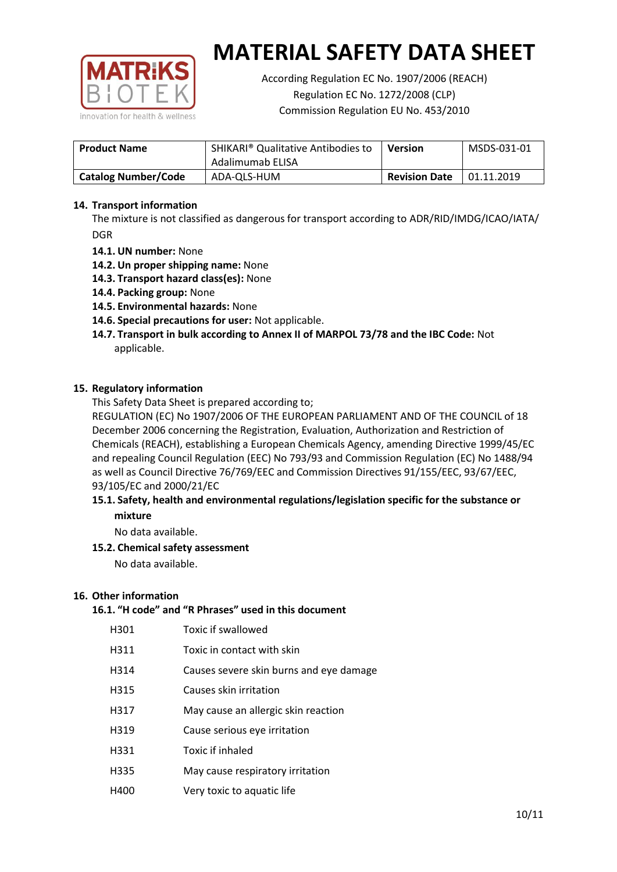

According Regulation EC No. 1907/2006 (REACH) Regulation EC No. 1272/2008 (CLP) Commission Regulation EU No. 453/2010

| <b>Product Name</b>        | SHIKARI <sup>®</sup> Qualitative Antibodies to<br>Adalimumab ELISA | Version | MSDS-031-01 |
|----------------------------|--------------------------------------------------------------------|---------|-------------|
| <b>Catalog Number/Code</b> | <b>Revision Date</b><br>ADA-QLS-HUM                                |         | 01.11.2019  |

## **14. Transport information**

The mixture is not classified as dangerous for transport according to ADR/RID/IMDG/ICAO/IATA/ DGR

- **14.1. UN number:** None
- **14.2. Un proper shipping name:** None
- **14.3. Transport hazard class(es):** None
- **14.4. Packing group:** None
- **14.5. Environmental hazards:** None
- **14.6. Special precautions for user:** Not applicable.
- **14.7. Transport in bulk according to Annex II of MARPOL 73/78 and the IBC Code:** Not applicable.

#### **15. Regulatory information**

This Safety Data Sheet is prepared according to;

REGULATION (EC) No 1907/2006 OF THE EUROPEAN PARLIAMENT AND OF THE COUNCIL of 18 December 2006 concerning the Registration, Evaluation, Authorization and Restriction of Chemicals (REACH), establishing a European Chemicals Agency, amending Directive 1999/45/EC and repealing Council Regulation (EEC) No 793/93 and Commission Regulation (EC) No 1488/94 as well as Council Directive 76/769/EEC and Commission Directives 91/155/EEC, 93/67/EEC, 93/105/EC and 2000/21/EC

## **15.1. Safety, health and environmental regulations/legislation specific for the substance or mixture**

No data available.

## **15.2. Chemical safety assessment**

No data available.

#### **16. Other information**

# **16.1. "H code" and "R Phrases" used in this document**

| H301 | Toxic if swallowed |
|------|--------------------|
|------|--------------------|

- H311 Toxic in contact with skin
- H314 Causes severe skin burns and eye damage
- H315 Causes skin irritation
- H317 May cause an allergic skin reaction
- H319 Cause serious eye irritation
- H331 Toxic if inhaled
- H335 May cause respiratory irritation
- H400 Very toxic to aquatic life